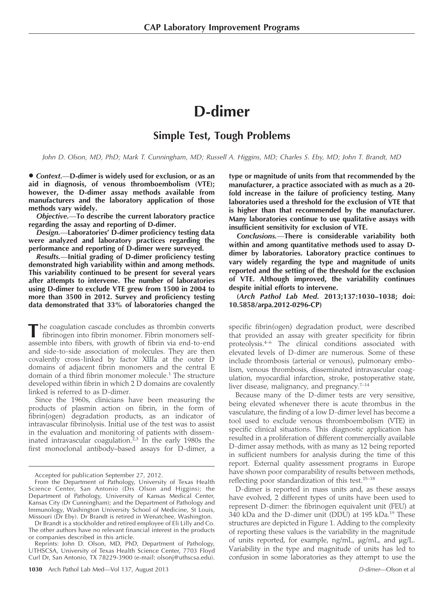# D-dimer

## Simple Test, Tough Problems

John D. Olson, MD, PhD; Mark T. Cunningham, MD; Russell A. Higgins, MD; Charles S. Eby, MD; John T. Brandt, MD

• Context.--D-dimer is widely used for exclusion, or as an aid in diagnosis, of venous thromboembolism (VTE); however, the D-dimer assay methods available from manufacturers and the laboratory application of those methods vary widely.

Objective.—To describe the current laboratory practice regarding the assay and reporting of D-dimer.

Design.—Laboratories' D-dimer proficiency testing data were analyzed and laboratory practices regarding the performance and reporting of D-dimer were surveyed.

Results.—Initial grading of D-dimer proficiency testing demonstrated high variability within and among methods. This variability continued to be present for several years after attempts to intervene. The number of laboratories using D-dimer to exclude VTE grew from 1500 in 2004 to more than 3500 in 2012. Survey and proficiency testing data demonstrated that 33% of laboratories changed the

he coagulation cascade concludes as thrombin converts fibrinogen into fibrin monomer. Fibrin monomers selfassemble into fibers, with growth of fibrin via end-to-end and side-to-side association of molecules. They are then covalently cross-linked by factor XIIIa at the outer D domains of adjacent fibrin monomers and the central E domain of a third fibrin monomer molecule.<sup>1</sup> The structure developed within fibrin in which 2 D domains are covalently linked is referred to as D-dimer.

Since the 1960s, clinicians have been measuring the products of plasmin action on fibrin, in the form of fibrin(ogen) degradation products, as an indicator of intravascular fibrinolysis. Initial use of the test was to assist in the evaluation and monitoring of patients with disseminated intravascular coagulation. $23$  In the early 1980s the first monoclonal antibody–based assays for D-dimer, a

type or magnitude of units from that recommended by the manufacturer, a practice associated with as much as a 20 fold increase in the failure of proficiency testing. Many laboratories used a threshold for the exclusion of VTE that is higher than that recommended by the manufacturer. Many laboratories continue to use qualitative assays with insufficient sensitivity for exclusion of VTE.

Conclusions.—There is considerable variability both within and among quantitative methods used to assay Ddimer by laboratories. Laboratory practice continues to vary widely regarding the type and magnitude of units reported and the setting of the threshold for the exclusion of VTE. Although improved, the variability continues despite initial efforts to intervene.

(Arch Pathol Lab Med. 2013;137:1030–1038; doi: 10.5858/arpa.2012-0296-CP)

specific fibrin(ogen) degradation product, were described that provided an assay with greater specificity for fibrin proteolysis.4–6 The clinical conditions associated with elevated levels of D-dimer are numerous. Some of these include thrombosis (arterial or venous), pulmonary embolism, venous thrombosis, disseminated intravascular coagulation, myocardial infarction, stroke, postoperative state, liver disease, malignancy, and pregnancy.<sup>7-14</sup>

Because many of the D-dimer tests are very sensitive, being elevated whenever there is acute thrombus in the vasculature, the finding of a low D-dimer level has become a tool used to exclude venous thromboembolism (VTE) in specific clinical situations. This diagnostic application has resulted in a proliferation of different commercially available D-dimer assay methods, with as many as 12 being reported in sufficient numbers for analysis during the time of this report. External quality assessment programs in Europe have shown poor comparability of results between methods, reflecting poor standardization of this test.15–18

D-dimer is reported in mass units and, as these assays have evolved, 2 different types of units have been used to represent D-dimer: the fibrinogen equivalent unit (FEU) at 340 kDa and the D-dimer unit (DDU) at 195 kDa.<sup>19</sup> These structures are depicted in Figure 1. Adding to the complexity of reporting these values is the variability in the magnitude of units reported, for example, ng/mL,  $\mu$ g/mL, and  $\mu$ g/L. Variability in the type and magnitude of units has led to confusion in some laboratories as they attempt to use the

Accepted for publication September 27, 2012.

From the Department of Pathology, University of Texas Health Science Center, San Antonio (Drs Olson and Higgins); the Department of Pathology, University of Kansas Medical Center, Kansas City (Dr Cunningham); and the Department of Pathology and Immunology, Washington University School of Medicine, St Louis, Missouri (Dr Eby). Dr Brandt is retired in Wenatchee, Washington.

Dr Brandt is a stockholder and retired employee of Eli Lilly and Co. The other authors have no relevant financial interest in the products or companies described in this article.

Reprints: John D. Olson, MD, PhD, Department of Pathology, UTHSCSA, University of Texas Health Science Center, 7703 Floyd Curl Dr, San Antonio, TX 78229-3900 (e-mail: olsonj@uthscsa.edu).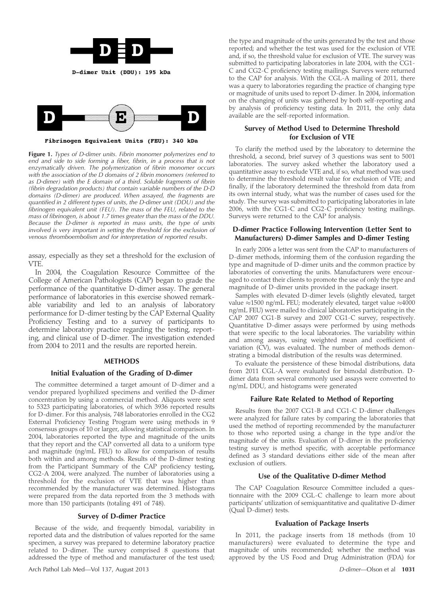



Fibrinogen Equivalent Units (FEU): 340 kDa

Figure 1. Types of D-dimer units. Fibrin monomer polymerizes end to end and side to side forming a fiber, fibrin, in a process that is not enzymatically driven. The polymerization of fibrin monomer occurs with the association of the  $\dot{D}$  domains of 2 fibrin monomers (referred to as D-dimer) with the E domain of a third. Soluble fragments of fibrin (fibrin degradation products) that contain variable numbers of the D-D domains (D-dimer) are produced. When assayed, the fragments are quantified in 2 different types of units, the D-dimer unit (DDU) and the fibrinogen equivalent unit (FEU). The mass of the FEU, related to the mass of fibrinogen, is about 1.7 times greater than the mass of the DDU. Because the D-dimer is reported in mass units, the type of units involved is very important in setting the threshold for the exclusion of venous thromboembolism and for interpretation of reported results.

assay, especially as they set a threshold for the exclusion of VTE.

In 2004, the Coagulation Resource Committee of the College of American Pathologists (CAP) began to grade the performance of the quantitative D-dimer assay. The general performance of laboratories in this exercise showed remarkable variability and led to an analysis of laboratory performance for D-dimer testing by the CAP External Quality Proficiency Testing and to a survey of participants to determine laboratory practice regarding the testing, reporting, and clinical use of D-dimer. The investigation extended from 2004 to 2011 and the results are reported herein.

#### METHODS

#### Initial Evaluation of the Grading of D-dimer

The committee determined a target amount of D-dimer and a vendor prepared lyophilized specimens and verified the D-dimer concentration by using a commercial method. Aliquots were sent to 5323 participating laboratories, of which 3936 reported results for D-dimer. For this analysis, 748 laboratories enrolled in the CG2 External Proficiency Testing Program were using methods in 9 consensus groups of 10 or larger, allowing statistical comparison. In 2004, laboratories reported the type and magnitude of the units that they report and the CAP converted all data to a uniform type and magnitude (ng/mL FEU) to allow for comparison of results both within and among methods. Results of the D-dimer testing from the Participant Summary of the CAP proficiency testing, CG2-A 2004, were analyzed. The number of laboratories using a threshold for the exclusion of VTE that was higher than recommended by the manufacturer was determined. Histograms were prepared from the data reported from the 3 methods with more than 150 participants (totaling 491 of 748).

#### Survey of D-dimer Practice

Because of the wide, and frequently bimodal, variability in reported data and the distribution of values reported for the same specimen, a survey was prepared to determine laboratory practice related to D-dimer. The survey comprised 8 questions that addressed the type of method and manufacturer of the test used; the type and magnitude of the units generated by the test and those reported; and whether the test was used for the exclusion of VTE and, if so, the threshold value for exclusion of VTE. The survey was submitted to participating laboratories in late 2004, with the CG1- C and CG2-C proficiency testing mailings. Surveys were returned to the CAP for analysis. With the CGL-A mailing of 2011, there was a query to laboratories regarding the practice of changing type or magnitude of units used to report D-dimer. In 2004, information on the changing of units was gathered by both self-reporting and by analysis of proficiency testing data. In 2011, the only data available are the self-reported information.

#### Survey of Method Used to Determine Threshold for Exclusion of VTE

To clarify the method used by the laboratory to determine the threshold, a second, brief survey of 3 questions was sent to 5001 laboratories. The survey asked whether the laboratory used a quantitative assay to exclude VTE and, if so, what method was used to determine the threshold result value for exclusion of VTE; and finally, if the laboratory determined the threshold from data from its own internal study, what was the number of cases used for the study. The survey was submitted to participating laboratories in late 2006, with the CG1-C and CG2-C proficiency testing mailings. Surveys were returned to the CAP for analysis.

#### D-dimer Practice Following Intervention (Letter Sent to Manufacturers) D-dimer Samples and D-dimer Testing

In early 2006 a letter was sent from the CAP to manufacturers of D-dimer methods, informing them of the confusion regarding the type and magnitude of D-dimer units and the common practice by laboratories of converting the units. Manufacturers were encouraged to contact their clients to promote the use of only the type and magnitude of D-dimer units provided in the package insert.

Samples with elevated D-dimer levels (slightly elevated, target value  $\approx$ 1500 ng/mL FEU; moderately elevated, target value  $\approx$ 4000 ng/mL FEU) were mailed to clinical laboratories participating in the CAP 2007 CG1-B survey and 2007 CG1-C survey, respectively. Quantitative D-dimer assays were performed by using methods that were specific to the local laboratories. The variability within and among assays, using weighted mean and coefficient of variation (CV), was evaluated. The number of methods demonstrating a bimodal distribution of the results was determined.

To evaluate the persistence of these bimodal distributions, data from 2011 CGL-A were evaluated for bimodal distribution. Ddimer data from several commonly used assays were converted to ng/mL DDU, and histograms were generated

#### Failure Rate Related to Method of Reporting

Results from the 2007 CG1-B and CG1-C D-dimer challenges were analyzed for failure rates by comparing the laboratories that used the method of reporting recommended by the manufacturer to those who reported using a change in the type and/or the magnitude of the units. Evaluation of D-dimer in the proficiency testing survey is method specific, with acceptable performance defined as 3 standard deviations either side of the mean after exclusion of outliers.

#### Use of the Qualitative D-dimer Method

The CAP Coagulation Resource Committee included a questionnaire with the 2009 CGL-C challenge to learn more about participants' utilization of semiquantitative and qualitative D-dimer (Qual D-dimer) tests.

#### Evaluation of Package Inserts

In 2011, the package inserts from 18 methods (from 10 manufacturers) were evaluated to determine the type and magnitude of units recommended; whether the method was approved by the US Food and Drug Administration (FDA) for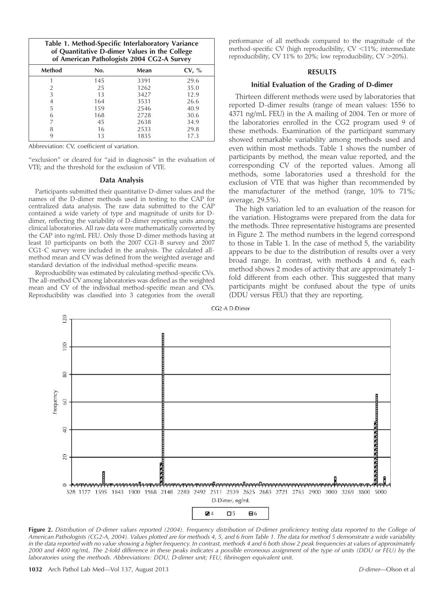| Table 1. Method-Specific Interlaboratory Variance<br>of Quantitative D-dimer Values in the College<br>of American Pathologists 2004 CG2-A Survey |     |      |       |  |
|--------------------------------------------------------------------------------------------------------------------------------------------------|-----|------|-------|--|
| <b>Method</b>                                                                                                                                    | No. | Mean | CV, % |  |
|                                                                                                                                                  | 145 | 3391 | 29.6  |  |
| 2                                                                                                                                                | 25  | 1262 | 35.0  |  |
| 3                                                                                                                                                | 13  | 3427 | 12.9  |  |
| 4                                                                                                                                                | 164 | 3531 | 26.6  |  |
| 5                                                                                                                                                | 159 | 2546 | 40.9  |  |
| 6                                                                                                                                                | 168 | 2728 | 30.6  |  |
|                                                                                                                                                  | 45  | 2638 | 34.9  |  |
| 8                                                                                                                                                | 16  | 2533 | 29.8  |  |
| q                                                                                                                                                | 13  | 1835 | 17.3  |  |

Abbreviation: CV, coefficient of variation.

"exclusion" or cleared for "aid in diagnosis" in the evaluation of VTE; and the threshold for the exclusion of VTE.

#### Data Analysis

Participants submitted their quantitative D-dimer values and the names of the D-dimer methods used in testing to the CAP for centralized data analysis. The raw data submitted to the CAP contained a wide variety of type and magnitude of units for Ddimer, reflecting the variability of D-dimer reporting units among clinical laboratories. All raw data were mathematically converted by the CAP into ng/mL FEU. Only those D-dimer methods having at least 10 participants on both the 2007 CG1-B survey and 2007 CG1-C survey were included in the analysis. The calculated allmethod mean and CV was defined from the weighted average and standard deviation of the individual method-specific means.

Reproducibility was estimated by calculating method-specific CVs. The all-method CV among laboratories was defined as the weighted mean and CV of the individual method-specific mean and CVs. Reproducibility was classified into 3 categories from the overall

performance of all methods compared to the magnitude of the method-specific CV (high reproducibility,  $CV < 11\%$ ; intermediate reproducibility, CV 11% to 20%; low reproducibility, CV  $>$  20%).

#### RESULTS

#### Initial Evaluation of the Grading of D-dimer

Thirteen different methods were used by laboratories that reported D-dimer results (range of mean values: 1556 to 4371 ng/mL FEU) in the A mailing of 2004. Ten or more of the laboratories enrolled in the CG2 program used 9 of these methods. Examination of the participant summary showed remarkable variability among methods used and even within most methods. Table 1 shows the number of participants by method, the mean value reported, and the corresponding CV of the reported values. Among all methods, some laboratories used a threshold for the exclusion of VTE that was higher than recommended by the manufacturer of the method (range, 10% to 71%; average, 29.5%).

The high variation led to an evaluation of the reason for the variation. Histograms were prepared from the data for the methods. Three representative histograms are presented in Figure 2. The method numbers in the legend correspond to those in Table 1. In the case of method 5, the variability appears to be due to the distribution of results over a very broad range. In contrast, with methods 4 and 6, each method shows 2 modes of activity that are approximately 1 fold different from each other. This suggested that many participants might be confused about the type of units (DDU versus FEU) that they are reporting.





Figure 2. Distribution of D-dimer values reported (2004). Frequency distribution of D-dimer proficiency testing data reported to the College of American Pathologists (CG2-A, 2004). Values plotted are for methods 4, 5, and 6 from Table 1. The data for method 5 demonstrate a wide variability in the data reported with no value showing a higher frequency. In contrast, methods 4 and 6 both show 2 peak frequencies at values of approximately 2000 and 4400 ng/mL. The 2-fold difference in these peaks indicates a possible erroneous assignment of the type of units (DDU or FEU) by the laboratories using the methods. Abbreviations: DDU, D-dimer unit; FEU, fibrinogen equivalent unit.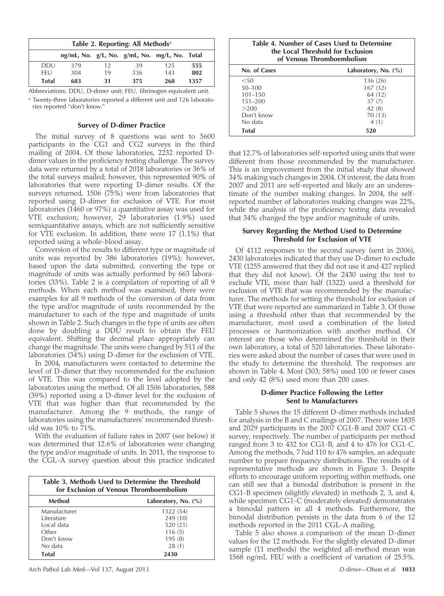|              | Table 2. Reporting: All Methods <sup>a</sup>  |    |     |     |      |
|--------------|-----------------------------------------------|----|-----|-----|------|
|              | ng/mL, No. g/L, No. g/mL, No. mg/L, No. Total |    |     |     |      |
| <b>DDU</b>   | 379                                           | 12 | 39  | 125 | 555  |
| <b>FFU</b>   | 304                                           | 19 | 336 | 143 | 802  |
| <b>Total</b> | 683                                           | 31 | 375 | 268 | 1357 |

Abbreviations: DDU, D-dimer unit; FEU, fibrinogen equivalent unit.

<sup>a</sup> Twenty-three laboratories reported a different unit and 126 laboratories reported ''don't know.''

#### Survey of D-dimer Practice

The initial survey of 8 questions was sent to 5600 participants in the CG1 and CG2 surveys in the third mailing of 2004. Of these laboratories, 2232 reported Ddimer values in the proficiency testing challenge. The survey data were returned by a total of 2018 laboratories or 36% of the total surveys mailed; however, this represented 90% of laboratories that were reporting D-dimer results. Of the surveys returned, 1506 (75%) were from laboratories that reported using D-dimer for exclusion of VTE. For most laboratories (1460 or 97%) a quantitative assay was used for VTE exclusion; however, 29 laboratories (1.9%) used semiquantitative assays, which are not sufficiently sensitive for VTE exclusion. In addition, there were 17 (1.1%) that reported using a whole-blood assay.

Conversion of the results to different type or magnitude of units was reported by 386 laboratories (19%); however, based upon the data submitted, converting the type or magnitude of units was actually performed by 663 laboratories (33%). Table 2 is a compilation of reporting of all 9 methods. When each method was examined, there were examples for all 9 methods of the conversion of data from the type and/or magnitude of units recommended by the manufacturer to each of the type and magnitude of units shown in Table 2. Such changes in the type of units are often done by doubling a DDU result to obtain the FEU equivalent. Shifting the decimal place appropriately can change the magnitude. The units were changed by 511 of the laboratories (34%) using D-dimer for the exclusion of VTE.

In 2004, manufacturers were contacted to determine the level of D-dimer that they recommended for the exclusion of VTE. This was compared to the level adopted by the laboratories using the method. Of all 1506 laboratories, 588 (39%) reported using a D-dimer level for the exclusion of VTE that was higher than that recommended by the manufacturer. Among the 9 methods, the range of laboratories using the manufacturers' recommended threshold was 10% to 71%.

With the evaluation of failure rates in 2007 (see below) it was determined that 12.6% of laboratories were changing the type and/or magnitude of units. In 2011, the response to the CGL-A survey question about this practice indicated

| Table 3. Methods Used to Determine the Threshold<br>for Exclusion of Venous Thromboembolism |           |  |  |
|---------------------------------------------------------------------------------------------|-----------|--|--|
| Method<br>Laboratory, No. $(\%)$                                                            |           |  |  |
| Manufacturer                                                                                | 1322 (54) |  |  |
| Literature                                                                                  | 249 (10)  |  |  |
| Local data                                                                                  | 520 (21)  |  |  |
| Other<br>116(5)                                                                             |           |  |  |
| Don't know<br>195(8)                                                                        |           |  |  |
| No data<br>28(1)                                                                            |           |  |  |
| Total<br>2430                                                                               |           |  |  |

Arch Pathol Lab Med—Vol 137, August 2013 **D**-dimer—Olson et al **1033** D-dimer—Olson et al **1033** 

| Table 4. Number of Cases Used to Determine<br>the Local Threshold for Exclusion<br>of Venous Thromboembolism |                        |  |  |
|--------------------------------------------------------------------------------------------------------------|------------------------|--|--|
| No. of Cases                                                                                                 | Laboratory, No. $(\%)$ |  |  |
| < 50                                                                                                         | 136 (26)               |  |  |
| $50 - 100$                                                                                                   | 167(32)                |  |  |
| $101 - 150$                                                                                                  | 64 (12)                |  |  |
| $151 - 200$                                                                                                  |                        |  |  |

 $>200$  42 (8) Don't know 70 (13) No data  $4(1)$ Total 520

that 12.7% of laboratories self-reported using units that were different from those recommended by the manufacturer. This is an improvement from the initial study that showed 34% making such changes in 2004. Of interest, the data from 2007 and 2011 are self-reported and likely are an underestimate of the number making changes. In 2004, the selfreported number of laboratories making changes was 22%, while the analysis of the proficiency testing data revealed that 34% changed the type and/or magnitude of units.

### Survey Regarding the Method Used to Determine Threshold for Exclusion of VTE

Of 4112 responses to the second survey (sent in 2006), 2430 laboratories indicated that they use D-dimer to exclude VTE (1255 answered that they did not use it and 427 replied that they did not know). Of the 2430 using the test to exclude VTE, more than half (1322) used a threshold for exclusion of VTE that was recommended by the manufacturer. The methods for setting the threshold for exclusion of VTE that were reported are summarized in Table 3. Of those using a threshold other than that recommended by the manufacturer, most used a combination of the listed processes or harmonization with another method. Of interest are those who determined the threshold in their own laboratory, a total of 520 laboratories. These laboratories were asked about the number of cases that were used in the study to determine the threshold. The responses are shown in Table 4. Most (303; 58%) used 100 or fewer cases and only 42 (8%) used more than 200 cases.

#### D-dimer Practice Following the Letter Sent to Manufacturers

Table 5 shows the 15 different D-dimer methods included for analysis in the B and C mailings of 2007. There were 1835 and 2029 participants in the 2007 CG1-B and 2007 CG1-C survey, respectively. The number of participants per method ranged from 3 to 432 for CG1-B, and 4 to 476 for CG1-C. Among the methods, 7 had 110 to 476 samples, an adequate number to prepare frequency distributions. The results of 4 representative methods are shown in Figure 3. Despite efforts to encourage uniform reporting within methods, one can still see that a bimodal distribution is present in the CG1-B specimen (slightly elevated) in methods 2, 3, and 4, while specimen CG1-C (moderately elevated) demonstrates a bimodal pattern in all 4 methods. Furthermore, the bimodal distribution persists in the data from 6 of the 12 methods reported in the 2011 CGL-A mailing.

Table 5 also shows a comparison of the mean D-dimer values for the 12 methods. For the slightly elevated D-dimer sample (11 methods) the weighted all-method mean was 1568 ng/mL FEU with a coefficient of variation of 25.5%.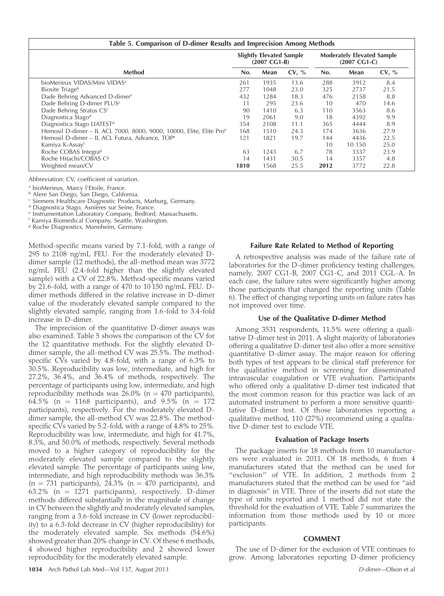| Table 5. Comparison of D-dimer Results and Imprecision Among Methods |                                                           |      |                                                             |      |        |       |
|----------------------------------------------------------------------|-----------------------------------------------------------|------|-------------------------------------------------------------|------|--------|-------|
|                                                                      | <b>Slightly Elevated Sample</b><br>$(2007 \text{ CG1-B})$ |      | <b>Moderately Elevated Sample</b><br>$(2007 \text{ CG1-C})$ |      |        |       |
| Method                                                               | No.                                                       | Mean | CV, %                                                       | No.  | Mean   | CV, % |
| bioMerieux VIDAS/Mini VIDAS <sup>a</sup>                             | 261                                                       | 1935 | 13.6                                                        | 288  | 3912   | 8.4   |
| Biosite Triage <sup>b</sup>                                          | 277                                                       | 1048 | 23.0                                                        | 325  | 2737   | 21.5  |
| Dade Behring Advanced D-dimerc                                       | 432                                                       | 1284 | 18.3                                                        | 476  | 2158   | 8.8   |
| Dade Behring D-dimer PLUS <sup>c</sup>                               | 11                                                        | 295  | 23.6                                                        | 10   | 470    | 14.6  |
| Dade Behring Stratus CSc                                             | 90                                                        | 1410 | 6.3                                                         | 110  | 3563   | 8.6   |
| Diagnostica Štago <sup>d</sup>                                       | 19                                                        | 2061 | 9.0                                                         | 18   | 4392   | 9.9   |
| Diagnostica Stago LIATEST <sup>d</sup>                               | 354                                                       | 2108 | 11.1                                                        | 365  | 4444   | 8.9   |
| Hemosil D-dimer - IL ACL 7000, 8000, 9000, 10000, Elite, Elite Proe  | 168                                                       | 1510 | 24.3                                                        | 174  | 3636   | 27.9  |
| Hemosil D-dimer - IL ACL Futura, Advance, TOP <sup>e</sup>           |                                                           | 1821 | 19.7                                                        | 144  | 4436   | 22.5  |
| Kamiya K-Assay <sup>f</sup>                                          |                                                           |      |                                                             | 10   | 10 150 | 25.0  |
| Roche COBAS Integra <sup>8</sup>                                     | 63                                                        | 1243 | 6.7                                                         | 78   | 3337   | 23.9  |
| Roche Hitachi/COBAS C <sup>8</sup>                                   |                                                           | 1431 | 30.5                                                        | 14   | 3357   | 4.8   |
| Weighted mean/CV                                                     | 1810                                                      | 1568 | 25.5                                                        | 2012 | 3772   | 22.8  |

Abbreviation: CV, coefficient of variation.

<sup>a</sup> bioMerieux, Marcy l'Etoile, France.

<sup>b</sup> Alere San Diego, San Diego, California.

<sup>c</sup> Siemens Healthcare Diagnostic Products, Marburg, Germany.<br><sup>d</sup> Diagnostica Stago, Asnières sur Seine, France.

e Instrumentation Laboratory Company, Bedford, Massachusetts.

<sup>f</sup> Kamiya Biomedical Company, Seattle, Washington.

<sup>8</sup> Roche Diagnostics, Mannheim, Germany.

Method-specific means varied by 7.1-fold, with a range of 295 to 2108 ng/mL FEU. For the moderately elevated Ddimer sample (12 methods), the all-method mean was 3772 ng/mL FEU (2.4-fold higher than the slightly elevated sample) with a CV of 22.8%. Method-specific means varied by 21.6-fold, with a range of 470 to 10 150 ng/mL FEU. Ddimer methods differed in the relative increase in D-dimer value of the moderately elevated sample compared to the slightly elevated sample, ranging from 1.6-fold to 3.4-fold increase in D-dimer.

The imprecision of the quantitative D-dimer assays was also examined. Table 5 shows the comparison of the CV for the 12 quantitative methods. For the slightly elevated Ddimer sample, the all-method CV was 25.5%. The methodspecific CVs varied by 4.8-fold, with a range of 6.3% to 30.5%. Reproducibility was low, intermediate, and high for 27.2%, 36.4%, and 36.4% of methods, respectively. The percentage of participants using low, intermediate, and high reproducibility methods was  $26.0\%$  (n = 470 participants), 64.5% (n = 1168 participants), and  $9.5\%$  (n = 172 participants), respectively. For the moderately elevated Ddimer sample, the all-method CV was 22.8%. The methodspecific CVs varied by 5.2-fold, with a range of 4.8% to 25%. Reproducibility was low, intermediate, and high for 41.7%, 8.3%, and 50.0% of methods, respectively. Several methods moved to a higher category of reproducibility for the moderately elevated sample compared to the slightly elevated sample. The percentage of participants using low, intermediate, and high reproducibility methods was 36.3%  $(n = 731$  participants), 24.3%  $(n = 470$  participants), and 63.2% ( $n = 1271$  participants), respectively. D-dimer methods differed substantially in the magnitude of change in CV between the slightly and moderately elevated samples, ranging from a 3.6-fold increase in CV (lower reproducibility) to a 6.3-fold decrease in CV (higher reproducibility) for the moderately elevated sample. Six methods (54.6%) showed greater than 20% change in CV. Of these 6 methods, 4 showed higher reproducibility and 2 showed lower reproducibility for the moderately elevated sample.

#### Failure Rate Related to Method of Reporting

A retrospective analysis was made of the failure rate of laboratories for the D-dimer proficiency testing challenges, namely, 2007 CG1-B, 2007 CG1-C, and 2011 CGL-A. In each case, the failure rates were significantly higher among those participants that changed the reporting units (Table 6). The effect of changing reporting units on failure rates has not improved over time.

#### Use of the Qualitative D-dimer Method

Among 3531 respondents, 11.5% were offering a qualitative D-dimer test in 2011. A slight majority of laboratories offering a qualitative D-dimer test also offer a more sensitive quantitative D-dimer assay. The major reason for offering both types of test appears to be clinical staff preference for the qualitative method in screening for disseminated intravascular coagulation or VTE evaluation. Participants who offered only a qualitative D-dimer test indicated that the most common reason for this practice was lack of an automated instrument to perform a more sensitive quantitative D-dimer test. Of those laboratories reporting a qualitative method, 110 (27%) recommend using a qualitative D-dimer test to exclude VTE.

#### Evaluation of Package Inserts

The package inserts for 18 methods from 10 manufacturers were evaluated in 2011. Of 18 methods, 6 from 4 manufacturers stated that the method can be used for "exclusion" of VTE. In addition, 2 methods from 2 manufacturers stated that the method can be used for ''aid in diagnosis'' in VTE. Three of the inserts did not state the type of units reported and 1 method did not state the threshold for the evaluation of VTE. Table 7 summarizes the information from those methods used by 10 or more participants.

#### **COMMENT**

The use of D-dimer for the exclusion of VTE continues to grow. Among laboratories reporting D-dimer proficiency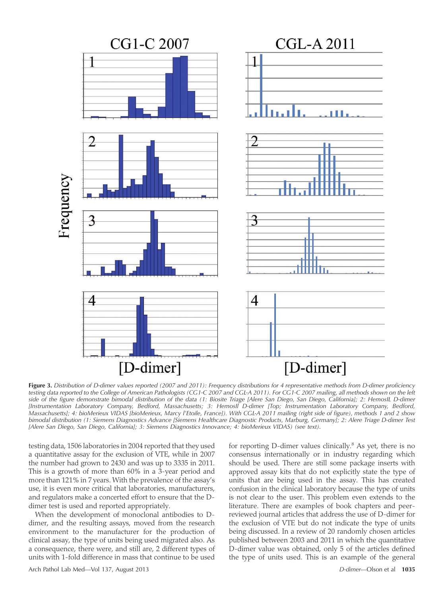

Figure 3. Distribution of D-dimer values reported (2007 and 2011): Frequency distributions for 4 representative methods from D-dimer proficiency testing data reported to the College of American Pathologists (CG1-C 2007 and CGL-A 2011). For CG1-C 2007 mailing, all methods shown on the left side of the figure demonstrate bimodal distribution of the data (1: Biosite Triage [Alere San Diego, San Diego, California]; 2: HemosIL D-dimer [Instrumentation Laboratory Company, Bedford, Massachusetts; 3: HemosII D-dimer [Top; Instrumentation Laboratory Company, Bedford, Massachusetts]; 4: bioMerieux VIDAS [bioMerieux, Marcy l'Etoile, France]). With CGL-A 2011 mailing (right side of figure), methods 1 and 2 show bimodal distribution (1: Siemens Diagnostics Advance [Siemens Healthcare Diagnostic Products, Marburg, Germany]; 2: Alere Triage D-dimer Test [Alere San Diego, San Diego, California]; 3: Siemens Diagnostics Innovance; 4: bioMerieux VIDAS) (see text).

testing data, 1506 laboratories in 2004 reported that they used a quantitative assay for the exclusion of VTE, while in 2007 the number had grown to 2430 and was up to 3335 in 2011. This is a growth of more than 60% in a 3-year period and more than 121% in 7 years. With the prevalence of the assay's use, it is even more critical that laboratories, manufacturers, and regulators make a concerted effort to ensure that the Ddimer test is used and reported appropriately.

When the development of monoclonal antibodies to Ddimer, and the resulting assays, moved from the research environment to the manufacturer for the production of clinical assay, the type of units being used migrated also. As a consequence, there were, and still are, 2 different types of units with 1-fold difference in mass that continue to be used

for reporting D-dimer values clinically.<sup>8</sup> As yet, there is no consensus internationally or in industry regarding which should be used. There are still some package inserts with approved assay kits that do not explicitly state the type of units that are being used in the assay. This has created confusion in the clinical laboratory because the type of units is not clear to the user. This problem even extends to the literature. There are examples of book chapters and peerreviewed journal articles that address the use of D-dimer for the exclusion of VTE but do not indicate the type of units being discussed. In a review of 20 randomly chosen articles published between 2003 and 2011 in which the quantitative D-dimer value was obtained, only 5 of the articles defined the type of units used. This is an example of the general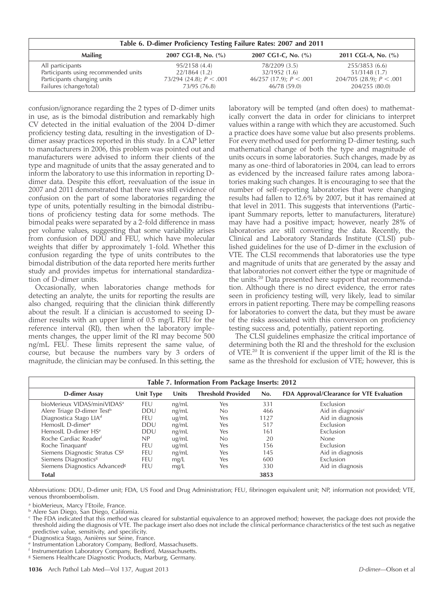| Table 6. D-dimer Proficiency Testing Failure Rates: 2007 and 2011                               |                           |                           |                            |  |  |  |
|-------------------------------------------------------------------------------------------------|---------------------------|---------------------------|----------------------------|--|--|--|
| 2007 CG1-C, No. $(\% )$<br><b>Mailing</b><br>2011 CGL-A, No. $(\% )$<br>2007 CG1-B, No. $(\% )$ |                           |                           |                            |  |  |  |
| All participants                                                                                | 95/2158 (4.4)             | 78/2209 (3.5)             | 255/3853 (6.6)             |  |  |  |
| Participants using recommended units                                                            | 22/1864(1.2)              | 32/1952 (1.6)             | 51/3148 (1.7)              |  |  |  |
| Participants changing units                                                                     | 73/294 (24.8); $P < .001$ | 46/257 (17.9); $P < .001$ | 204/705 (28.9); $P < .001$ |  |  |  |
| Failures (change/total)                                                                         | 73/95 (76.8)              | 46/78 (59.0)              | 204/255 (80.0)             |  |  |  |

confusion/ignorance regarding the 2 types of D-dimer units in use, as is the bimodal distribution and remarkably high CV detected in the initial evaluation of the 2004 D-dimer proficiency testing data, resulting in the investigation of Ddimer assay practices reported in this study. In a CAP letter to manufacturers in 2006, this problem was pointed out and manufacturers were advised to inform their clients of the type and magnitude of units that the assay generated and to inform the laboratory to use this information in reporting Ddimer data. Despite this effort, reevaluation of the issue in 2007 and 2011 demonstrated that there was still evidence of confusion on the part of some laboratories regarding the type of units, potentially resulting in the bimodal distributions of proficiency testing data for some methods. The bimodal peaks were separated by a 2-fold difference in mass per volume values, suggesting that some variability arises from confusion of DDU and FEU, which have molecular weights that differ by approximately 1-fold. Whether this confusion regarding the type of units contributes to the bimodal distribution of the data reported here merits further study and provides impetus for international standardization of D-dimer units.

Occasionally, when laboratories change methods for detecting an analyte, the units for reporting the results are also changed, requiring that the clinician think differently about the result. If a clinician is accustomed to seeing Ddimer results with an upper limit of 0.5 mg/L FEU for the reference interval (RI), then when the laboratory implements changes, the upper limit of the RI may become 500 ng/mL FEU. These limits represent the same value, of course, but because the numbers vary by 3 orders of magnitude, the clinician may be confused. In this setting, the laboratory will be tempted (and often does) to mathematically convert the data in order for clinicians to interpret values within a range with which they are accustomed. Such a practice does have some value but also presents problems. For every method used for performing D-dimer testing, such mathematical change of both the type and magnitude of units occurs in some laboratories. Such changes, made by as many as one-third of laboratories in 2004, can lead to errors as evidenced by the increased failure rates among laboratories making such changes. It is encouraging to see that the number of self-reporting laboratories that were changing results had fallen to 12.6% by 2007, but it has remained at that level in 2011. This suggests that interventions (Participant Summary reports, letter to manufacturers, literature) may have had a positive impact; however, nearly 28% of laboratories are still converting the data. Recently, the Clinical and Laboratory Standards Institute (CLSI) published guidelines for the use of D-dimer in the exclusion of VTE. The CLSI recommends that laboratories use the type and magnitude of units that are generated by the assay and that laboratories not convert either the type or magnitude of the units.<sup>20</sup> Data presented here support that recommendation. Although there is no direct evidence, the error rates seen in proficiency testing will, very likely, lead to similar errors in patient reporting. There may be compelling reasons for laboratories to convert the data, but they must be aware of the risks associated with this conversion on proficiency testing success and, potentially, patient reporting.

The CLSI guidelines emphasize the critical importance of determining both the RI and the threshold for the exclusion of VTE.20 It is convenient if the upper limit of the RI is the same as the threshold for exclusion of VTE; however, this is

| Table 7. Information From Package Inserts: 2012 |            |              |                           |      |                                           |
|-------------------------------------------------|------------|--------------|---------------------------|------|-------------------------------------------|
| <b>D-dimer Assay</b>                            | Unit Type  | <b>Units</b> | <b>Threshold Provided</b> | No.  | FDA Approval/Clearance for VTE Evaluation |
| bioMerieux VIDAS/miniVIDAS <sup>a</sup>         | FEU        | ng/mL        | Yes                       | 331  | Exclusion                                 |
| Alere Triage D-dimer Test <sup>b</sup>          | <b>DDU</b> | ng/mL        | No                        | 466  | Aid in diagnosis <sup>c</sup>             |
| Diagnostica Stago LIA <sup>d</sup>              | FEU        | ug/mL        | Yes                       | 1127 | Aid in diagnosis                          |
| HemosIL D-dimer <sup>e</sup>                    | <b>DDU</b> | ng/mL        | Yes                       | 517  | Exclusion                                 |
| HemosIL D-dimer HS <sup>e</sup>                 | <b>DDU</b> | ng/mL        | Yes                       | 161  | Exclusion                                 |
| Roche Cardiac Reader <sup>f</sup>               | NP         | ug/mL        | No                        | 20   | <b>None</b>                               |
| Roche Tinaquant <sup>f</sup>                    | FEU        | ug/mL        | Yes                       | 156  | <b>Exclusion</b>                          |
| Siemens Diagnostic Stratus CS <sup>8</sup>      | FEU        | ng/mL        | Yes                       | 145  | Aid in diagnosis                          |
| Siemens Diagnostics <sup>8</sup>                | FEU        | mg/L         | Yes                       | 600  | <b>Exclusion</b>                          |
| Siemens Diagnostics Advanced <sup>8</sup>       | <b>FEU</b> | mg/L         | Yes                       | 330  | Aid in diagnosis                          |
| <b>Total</b>                                    |            |              |                           | 3853 |                                           |

Abbreviations: DDU, D-dimer unit; FDA, US Food and Drug Administration; FEU, fibrinogen equivalent unit; NP, information not provided; VTE, venous thromboembolism.

<sup>a</sup> bioMerieux, Marcy l'Etoile, France.

**b Alere San Diego, San Diego, California.** 

- <sup>c</sup> The FDA indicated that this method was cleared for substantial equivalence to an approved method; however, the package does not provide the threshold aiding the diagnosis of VTE. The package insert also does not include the clinical performance characteristics of the test such as negative predictive value, sensitivity, and specificity.<br>d Diagnostica Stago, Asnières sur Seine, France.
- 
- <sup>d</sup> Diagnostica Stago, Asnières sur Seine, France.<br><sup>e</sup> Instrumentation Laboratory Company, Bedford, Massachusetts.
- <sup>f</sup> Instrumentation Laboratory Company, Bedford, Massachusetts.
- <sup>g</sup> Siemens Healthcare Diagnostic Products, Marburg, Germany.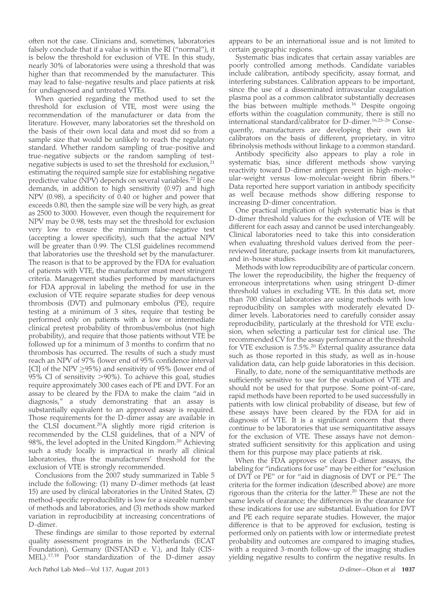often not the case. Clinicians and, sometimes, laboratories falsely conclude that if a value is within the RI (''normal''), it is below the threshold for exclusion of VTE. In this study, nearly 30% of laboratories were using a threshold that was higher than that recommended by the manufacturer. This may lead to false-negative results and place patients at risk for undiagnosed and untreated VTEs.

When queried regarding the method used to set the threshold for exclusion of VTE, most were using the recommendation of the manufacturer or data from the literature. However, many laboratories set the threshold on the basis of their own local data and most did so from a sample size that would be unlikely to reach the regulatory standard. Whether random sampling of true-positive and true-negative subjects or the random sampling of testnegative subjects is used to set the threshold for exclusion,<sup>21</sup> estimating the required sample size for establishing negative predictive value (NPV) depends on several variables.<sup>22</sup> If one demands, in addition to high sensitivity (0.97) and high NPV (0.98), a specificity of 0.40 or higher and power that exceeds 0.80, then the sample size will be very high, as great as 2500 to 3000. However, even though the requirement for NPV may be 0.98, tests may set the threshold for exclusion very low to ensure the minimum false-negative test (accepting a lower specificity), such that the actual NPV will be greater than 0.99. The CLSI guidelines recommend that laboratories use the threshold set by the manufacturer. The reason is that to be approved by the FDA for evaluation of patients with VTE, the manufacturer must meet stringent criteria. Management studies performed by manufacturers for FDA approval in labeling the method for use in the exclusion of VTE require separate studies for deep venous thrombosis (DVT) and pulmonary embolus (PE), require testing at a minimum of 3 sites, require that testing be performed only on patients with a low or intermediate clinical pretest probability of thrombus/embolus (not high probability), and require that those patients without VTE be followed up for a minimum of 3 months to confirm that no thrombosis has occurred. The results of such a study must reach an NPV of 97% (lower end of 95% confidence interval [CI] of the NPV >95%) and sensitivity of 95% (lower end of 95% CI of sensitivity >90%). To achieve this goal, studies require approximately 300 cases each of PE and DVT. For an assay to be cleared by the FDA to make the claim ''aid in diagnosis,'' a study demonstrating that an assay is substantially equivalent to an approved assay is required. Those requirements for the D-dimer assay are available in the CLSI document.<sup>20</sup>A slightly more rigid criterion is recommended by the CLSI guidelines, that of a NPV of 98%, the level adopted in the United Kingdom.<sup>20</sup> Achieving such a study locally is impractical in nearly all clinical laboratories, thus the manufacturers' threshold for the exclusion of VTE is strongly recommended.

Conclusions from the 2007 study summarized in Table 5 include the following: (1) many D-dimer methods (at least 15) are used by clinical laboratories in the United States, (2) method-specific reproducibility is low for a sizeable number of methods and laboratories, and (3) methods show marked variation in reproducibility at increasing concentrations of D-dimer.

These findings are similar to those reported by external quality assessment programs in the Netherlands (ECAT Foundation), Germany (INSTAND e. V.), and Italy (CIS-MEL).17,18 Poor standardization of the D-dimer assay

appears to be an international issue and is not limited to certain geographic regions.

Systematic bias indicates that certain assay variables are poorly controlled among methods. Candidate variables include calibration, antibody specificity, assay format, and interfering substances. Calibration appears to be important, since the use of a disseminated intravascular coagulation plasma pool as a common calibrator substantially decreases the bias between multiple methods.<sup>16</sup> Despite ongoing efforts within the coagulation community, there is still no international standard/calibrator for D-dimer.16,23–26 Consequently, manufacturers are developing their own kit calibrators on the basis of different, proprietary, in vitro fibrinolysis methods without linkage to a common standard.

Antibody specificity also appears to play a role in systematic bias, since different methods show varying reactivity toward D-dimer antigen present in high-molecular-weight versus low-molecular-weight fibrin fibers.16 Data reported here support variation in antibody specificity as well because methods show differing response to increasing D-dimer concentration.

One practical implication of high systematic bias is that D-dimer threshold values for the exclusion of VTE will be different for each assay and cannot be used interchangeably. Clinical laboratories need to take this into consideration when evaluating threshold values derived from the peerreviewed literature, package inserts from kit manufacturers, and in-house studies.

Methods with low reproducibility are of particular concern. The lower the reproducibility, the higher the frequency of erroneous interpretations when using stringent D-dimer threshold values in excluding VTE. In this data set, more than 700 clinical laboratories are using methods with low reproducibility on samples with moderately elevated Ddimer levels. Laboratories need to carefully consider assay reproducibility, particularly at the threshold for VTE exclusion, when selecting a particular test for clinical use. The recommended CV for the assay performance at the threshold for VTE exclusion is 7.5%.<sup>20</sup> External quality assurance data such as those reported in this study, as well as in-house validation data, can help guide laboratories in this decision.

Finally, to date, none of the semiquantitative methods are sufficiently sensitive to use for the evaluation of VTE and should not be used for that purpose. Some point-of-care, rapid methods have been reported to be used successfully in patients with low clinical probability of disease, but few of these assays have been cleared by the FDA for aid in diagnosis of VTE. It is a significant concern that there continue to be laboratories that use semiquantitative assays for the exclusion of VTE. These assays have not demonstrated sufficient sensitivity for this application and using them for this purpose may place patients at risk.

When the FDA approves or clears D-dimer assays, the labeling for "indications for use" may be either for "exclusion of DVT or PE'' or for ''aid in diagnosis of DVT or PE.'' The criteria for the former indication (described above) are more rigorous than the criteria for the latter.<sup>20</sup> These are not the same levels of clearance; the differences in the clearance for these indications for use are substantial. Evaluation for DVT and PE each require separate studies. However, the major difference is that to be approved for exclusion, testing is performed only on patients with low or intermediate pretest probability and outcomes are compared to imaging studies, with a required 3-month follow-up of the imaging studies yielding negative results to confirm the negative results. In